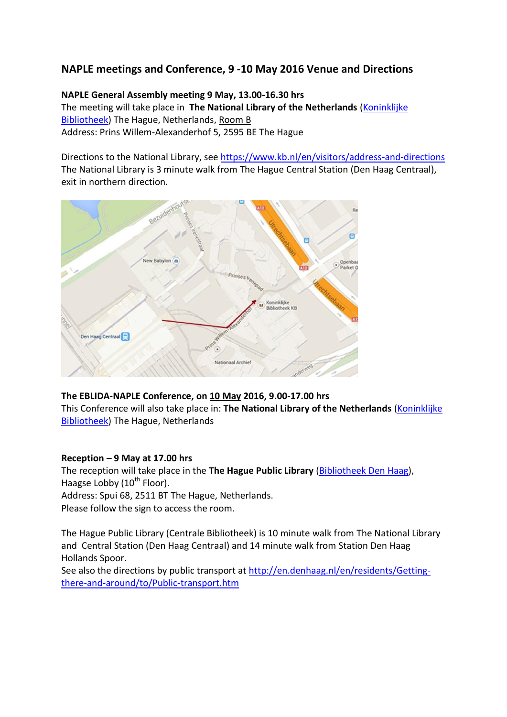## **NAPLE meetings and Conference, 9 -10 May 2016 Venue and Directions**

**NAPLE General Assembly meeting 9 May, 13.00-16.30 hrs** The meeting will take place in **The National Library of the Netherlands** [\(Koninklijke](https://www.kb.nl/)  [Bibliotheek\)](https://www.kb.nl/) The Hague, Netherlands, Room B Address: Prins Willem-Alexanderhof 5, 2595 BE The Hague

Directions to the National Library, see<https://www.kb.nl/en/visitors/address-and-directions> The National Library is 3 minute walk from The Hague Central Station (Den Haag Centraal), exit in northern direction.



## **The EBLIDA-NAPLE Conference, on 10 May 2016, 9.00-17.00 hrs**

This Conference will also take place in: The National Library of the Netherlands (Koninklijke [Bibliotheek\)](https://www.kb.nl/) The Hague, Netherlands

## **Reception – 9 May at 17.00 hrs**

The reception will take place in the **The Hague Public Library** [\(Bibliotheek Den](http://www.bibliotheekdenhaag.nl/english.html) Haag), Haagse Lobby  $(10^{th}$  Floor). Address: Spui 68, 2511 BT The Hague, Netherlands. Please follow the sign to access the room.

The Hague Public Library (Centrale Bibliotheek) is 10 minute walk from The National Library and Central Station (Den Haag Centraal) and 14 minute walk from Station Den Haag Hollands Spoor.

See also the directions by public transport at [http://en.denhaag.nl/en/residents/Getting](http://en.denhaag.nl/en/residents/Getting-there-and-around/to/Public-transport.htm)[there-and-around/to/Public-transport.htm](http://en.denhaag.nl/en/residents/Getting-there-and-around/to/Public-transport.htm)